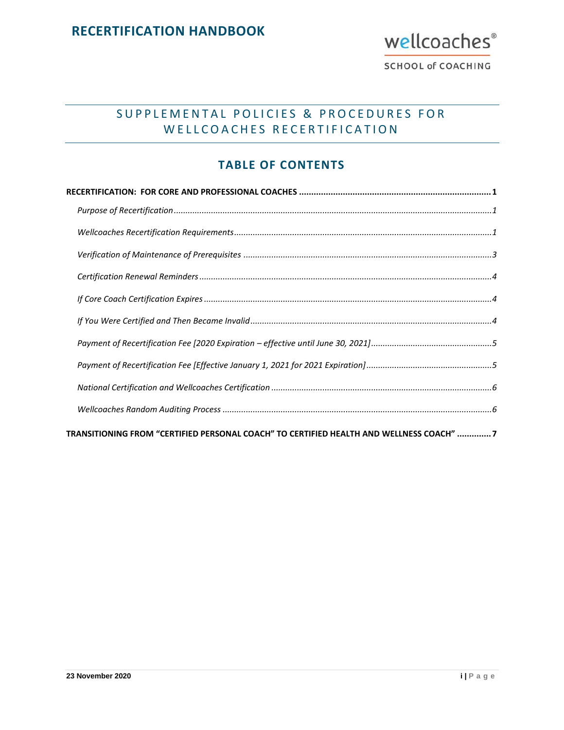

# SUPPLEMENTAL POLICIES & PROCEDURES FOR WELLCOACHES RECERTIFICATION

## **TABLE OF CONTENTS**

| TRANSITIONING FROM "CERTIFIED PERSONAL COACH" TO CERTIFIED HEALTH AND WELLNESS COACH" 7 |  |
|-----------------------------------------------------------------------------------------|--|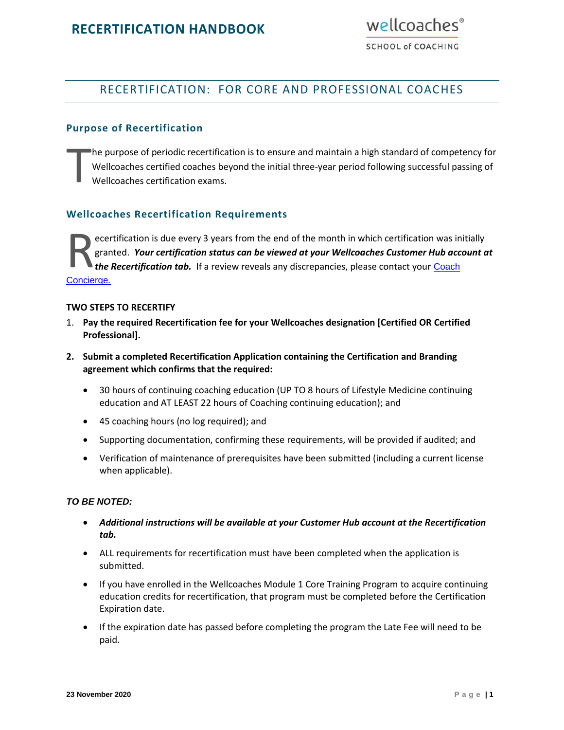

**SCHOOL of COACHING** 

## <span id="page-1-0"></span>RECERTIFICATION: FOR CORE AND PROFESSIONAL COACHES

#### <span id="page-1-1"></span>**Purpose of Recertification**

he purpose of periodic recertification is to ensure and maintain a high standard of competency for Wellcoaches certified coaches beyond the initial three-year period following successful passing of Wellcoaches certification exams. T

#### <span id="page-1-2"></span>**Wellcoaches Recertification Requirements**

ecertification is due every 3 years from the end of the month in which certification was initially granted. *Your certification status can be viewed at your Wellcoaches Customer Hub account at the Recertification tab.* If a review reveals any discrepancies, please contact your [Coach](https://www.wellcoachesschool.com/contact)  R<sub>gran</sub><br>[Concierge](https://www.wellcoachesschool.com/contact).

#### **TWO STEPS TO RECERTIFY**

- 1. **Pay the required Recertification fee for your Wellcoaches designation [Certified OR Certified Professional].**
- **2. Submit a completed Recertification Application containing the Certification and Branding agreement which confirms that the required:**
	- 30 hours of continuing coaching education (UP TO 8 hours of Lifestyle Medicine continuing education and AT LEAST 22 hours of Coaching continuing education); and
	- 45 coaching hours (no log required); and
	- Supporting documentation, confirming these requirements, will be provided if audited; and
	- Verification of maintenance of prerequisites have been submitted (including a current license when applicable).

#### *TO BE NOTED:*

- *Additional instructions will be available at your Customer Hub account at the Recertification tab.*
- ALL requirements for recertification must have been completed when the application is submitted.
- If you have enrolled in the Wellcoaches Module 1 Core Training Program to acquire continuing education credits for recertification, that program must be completed before the Certification Expiration date.
- If the expiration date has passed before completing the program the Late Fee will need to be paid.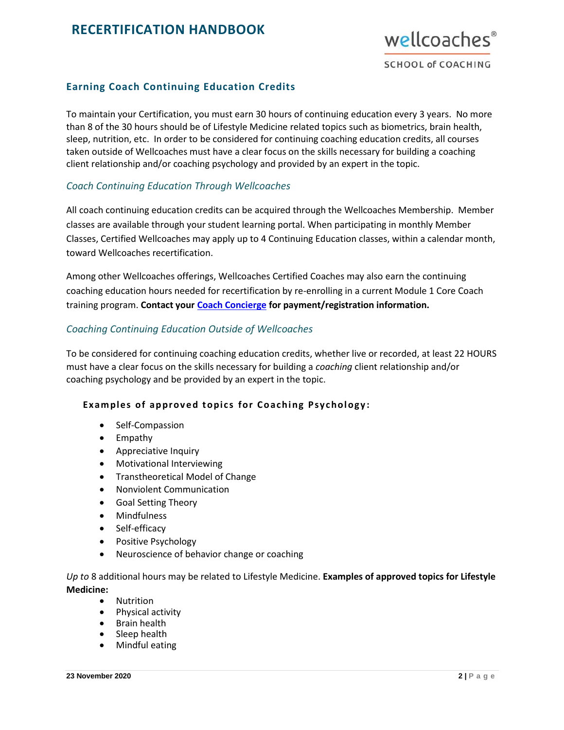

### **Earning Coach Continuing Education Credits**

To maintain your Certification, you must earn 30 hours of continuing education every 3 years. No more than 8 of the 30 hours should be of Lifestyle Medicine related topics such as biometrics, brain health, sleep, nutrition, etc. In order to be considered for continuing coaching education credits, all courses taken outside of Wellcoaches must have a clear focus on the skills necessary for building a coaching client relationship and/or coaching psychology and provided by an expert in the topic.

#### *Coach Continuing Education Through Wellcoaches*

All coach continuing education credits can be acquired through the Wellcoaches Membership. Member classes are available through your student learning portal. When participating in monthly Member Classes, Certified Wellcoaches may apply up to 4 Continuing Education classes, within a calendar month, toward Wellcoaches recertification.

Among other Wellcoaches offerings, Wellcoaches Certified Coaches may also earn the continuing coaching education hours needed for recertification by re-enrolling in a current Module 1 Core Coach training program. **Contact your [Coach Concierge](http://wellcoachesschool.com/contact-us/) for payment/registration information.** 

### *Coaching Continuing Education Outside of Wellcoaches*

To be considered for continuing coaching education credits, whether live or recorded, at least 22 HOURS must have a clear focus on the skills necessary for building a *coaching* client relationship and/or coaching psychology and be provided by an expert in the topic.

### **Examples of approved topics for Coaching Psychology:**

- Self-Compassion
- Empathy
- Appreciative Inquiry
- Motivational Interviewing
- Transtheoretical Model of Change
- Nonviolent Communication
- Goal Setting Theory
- Mindfulness
- Self-efficacy
- Positive Psychology
- Neuroscience of behavior change or coaching

*Up to* 8 additional hours may be related to Lifestyle Medicine. **Examples of approved topics for Lifestyle Medicine:**

- Nutrition
- Physical activity
- Brain health
- Sleep health
- Mindful eating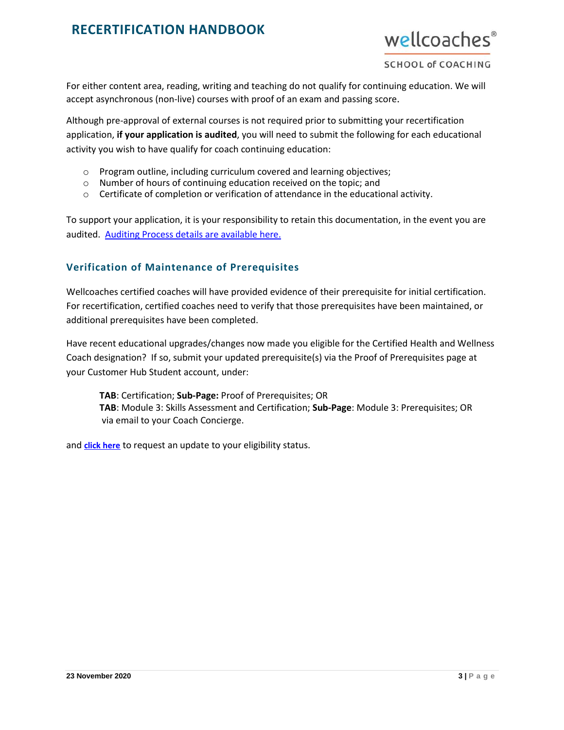

For either content area, reading, writing and teaching do not qualify for continuing education. We will accept asynchronous (non-live) courses with proof of an exam and passing score.

Although pre-approval of external courses is not required prior to submitting your recertification application, **if your application is audited**, you will need to submit the following for each educational activity you wish to have qualify for coach continuing education:

- o Program outline, including curriculum covered and learning objectives;
- o Number of hours of continuing education received on the topic; and
- $\circ$  Certificate of completion or verification of attendance in the educational activity.

To support your application, it is your responsibility to retain this documentation, in the event you are audited. [Auditing Process details are available here.](#page-6-1)

### <span id="page-3-0"></span>**Verification of Maintenance of Prerequisites**

Wellcoaches certified coaches will have provided evidence of their prerequisite for initial certification. For recertification, certified coaches need to verify that those prerequisites have been maintained, or additional prerequisites have been completed.

Have recent educational upgrades/changes now made you eligible for the Certified Health and Wellness Coach designation? If so, submit your updated prerequisite(s) via the Proof of Prerequisites page at your Customer Hub Student account, under:

**TAB**: Certification; **Sub-Page:** Proof of Prerequisites; OR **TAB**: Module 3: Skills Assessment and Certification; **Sub-Page**: Module 3: Prerequisites; OR via email to your Coach Concierge.

and **[click here](https://my982.infusionsoft.com/app/form/request-to-update-certification-eligibility-status)** to request an update to your eligibility status.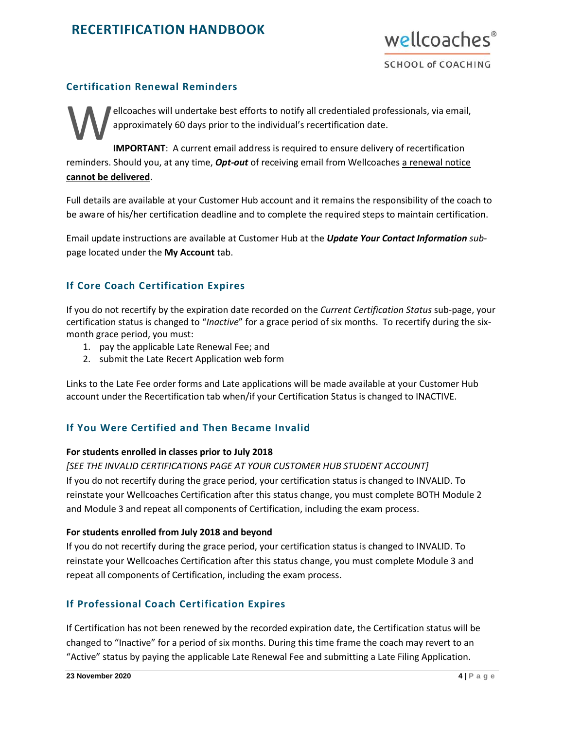

### <span id="page-4-0"></span>**Certification Renewal Reminders**

ellcoaches will undertake best efforts to notify all credentialed professionals, via email, approximately 60 days prior to the individual's recertification date.

**IMPORTANT**: A current email address is required to ensure delivery of recertification reminders. Should you, at any time, *Opt-out* of receiving email from Wellcoaches a renewal notice **cannot be delivered**. W

Full details are available at your Customer Hub account and it remains the responsibility of the coach to be aware of his/her certification deadline and to complete the required steps to maintain certification.

Email update instructions are available at Customer Hub at the *Update Your Contact Information sub*page located under the **My Account** tab.

### <span id="page-4-1"></span>**If Core Coach Certification Expires**

If you do not recertify by the expiration date recorded on the *Current Certification Status* sub-page, your certification status is changed to "*Inactive*" for a grace period of six months. To recertify during the sixmonth grace period, you must:

- 1. pay the applicable Late Renewal Fee; and
- 2. submit the Late Recert Application web form

Links to the Late Fee order forms and Late applications will be made available at your Customer Hub account under the Recertification tab when/if your Certification Status is changed to INACTIVE.

### <span id="page-4-2"></span>**If You Were Certified and Then Became Invalid**

#### **For students enrolled in classes prior to July 2018**

*[SEE THE INVALID CERTIFICATIONS PAGE AT YOUR CUSTOMER HUB STUDENT ACCOUNT]*

If you do not recertify during the grace period, your certification status is changed to INVALID. To reinstate your Wellcoaches Certification after this status change, you must complete BOTH Module 2 and Module 3 and repeat all components of Certification, including the exam process.

#### **For students enrolled from July 2018 and beyond**

If you do not recertify during the grace period, your certification status is changed to INVALID. To reinstate your Wellcoaches Certification after this status change, you must complete Module 3 and repeat all components of Certification, including the exam process.

### **If Professional Coach Certification Expires**

If Certification has not been renewed by the recorded expiration date, the Certification status will be changed to "Inactive" for a period of six months. During this time frame the coach may revert to an "Active" status by paying the applicable Late Renewal Fee and submitting a Late Filing Application.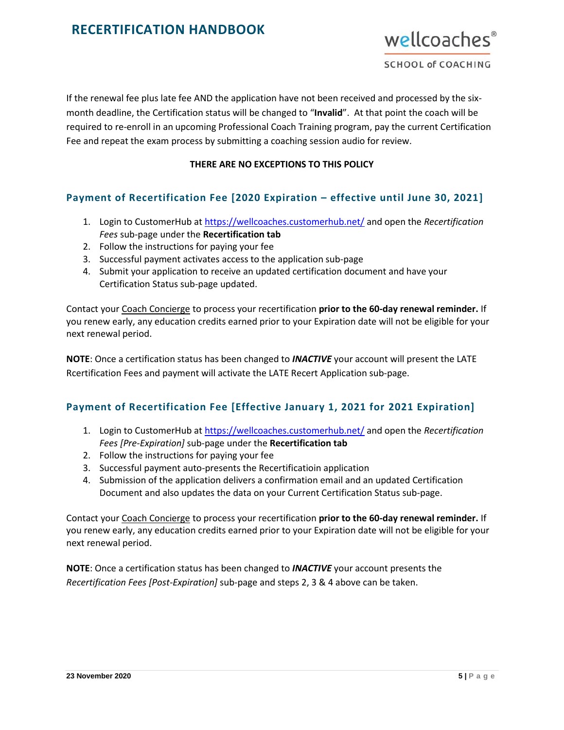

If the renewal fee plus late fee AND the application have not been received and processed by the sixmonth deadline, the Certification status will be changed to "**Invalid**". At that point the coach will be required to re-enroll in an upcoming Professional Coach Training program, pay the current Certification Fee and repeat the exam process by submitting a coaching session audio for review.

#### **THERE ARE NO EXCEPTIONS TO THIS POLICY**

### <span id="page-5-0"></span>**Payment of Recertification Fee [2020 Expiration – effective until June 30, 2021]**

- 1. Login to CustomerHub at <https://wellcoaches.customerhub.net/> and open the *Recertification Fees* sub-page under the **Recertification tab**
- 2. Follow the instructions for paying your fee
- 3. Successful payment activates access to the application sub-page
- 4. Submit your application to receive an updated certification document and have your Certification Status sub-page updated.

Contact your [Coach Concierge](http://wellcoachesschool.com/contact-us/) to process your recertification **prior to the 60-day renewal reminder.** If you renew early, any education credits earned prior to your Expiration date will not be eligible for your next renewal period.

**NOTE**: Once a certification status has been changed to *INACTIVE* your account will present the LATE Rcertification Fees and payment will activate the LATE Recert Application sub-page.

### <span id="page-5-1"></span>**Payment of Recertification Fee [Effective January 1, 2021 for 2021 Expiration]**

- 1. Login to CustomerHub at <https://wellcoaches.customerhub.net/> and open the *Recertification Fees [Pre-Expiration]* sub-page under the **Recertification tab**
- 2. Follow the instructions for paying your fee
- 3. Successful payment auto-presents the Recertificatioin application
- 4. Submission of the application delivers a confirmation email and an updated Certification Document and also updates the data on your Current Certification Status sub-page.

Contact your [Coach Concierge](http://wellcoachesschool.com/contact-us/) to process your recertification **prior to the 60-day renewal reminder.** If you renew early, any education credits earned prior to your Expiration date will not be eligible for your next renewal period.

**NOTE**: Once a certification status has been changed to *INACTIVE* your account presents the *Recertification Fees [Post-Expiration]* sub-page and steps 2, 3 & 4 above can be taken.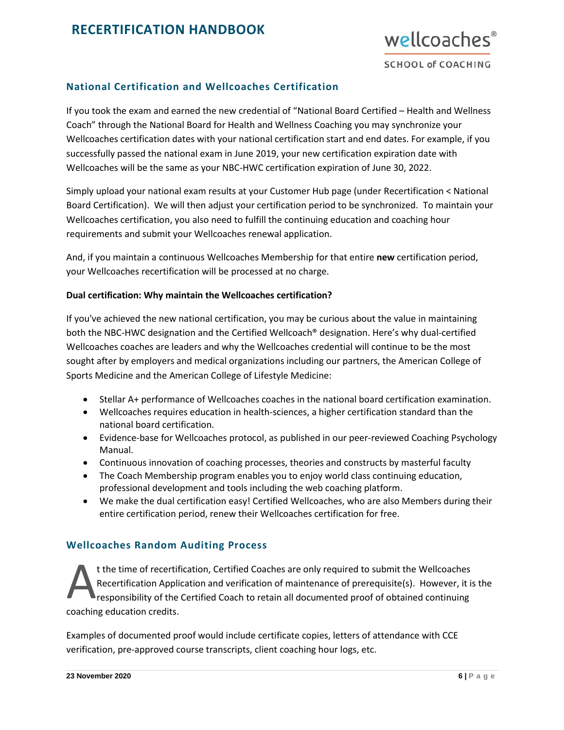

## <span id="page-6-0"></span>**National Certification and Wellcoaches Certification**

If you took the exam and earned the new credential of "National Board Certified – Health and Wellness Coach" through the National Board for Health and Wellness Coaching you may synchronize your Wellcoaches certification dates with your national certification start and end dates. For example, if you successfully passed the national exam in June 2019, your new certification expiration date with Wellcoaches will be the same as your NBC-HWC certification expiration of June 30, 2022.

Simply upload your national exam results at your Customer Hub page (under Recertification < National Board Certification). We will then adjust your certification period to be synchronized. To maintain your Wellcoaches certification, you also need to fulfill the continuing education and coaching hour requirements and submit your Wellcoaches renewal application.

And, if you maintain a continuous Wellcoaches Membership for that entire **new** certification period, your Wellcoaches recertification will be processed at no charge.

#### **Dual certification: Why maintain the Wellcoaches certification?**

If you've achieved the new national certification, you may be curious about the value in maintaining both the NBC-HWC designation and the Certified Wellcoach® designation. Here's why dual-certified Wellcoaches coaches are leaders and why the Wellcoaches credential will continue to be the most sought after by employers and medical organizations including our partners, the American College of Sports Medicine and the American College of Lifestyle Medicine:

- Stellar A+ performance of Wellcoaches coaches in the national board certification examination.
- Wellcoaches requires education in health-sciences, a higher certification standard than the national board certification.
- Evidence-base for Wellcoaches protocol, as published in our peer-reviewed Coaching Psychology Manual.
- Continuous innovation of coaching processes, theories and constructs by masterful faculty
- The Coach Membership program enables you to enjoy world class continuing education, professional development and tools including the web coaching platform.
- We make the dual certification easy! Certified Wellcoaches, who are also Members during their entire certification period, renew their Wellcoaches certification for free.

## <span id="page-6-1"></span>**Wellcoaches Random Auditing Process**

t the time of recertification, Certified Coaches are only required to submit the Wellcoaches Recertification Application and verification of maintenance of prerequisite(s). However, it is the responsibility of the Certified Coach to retain all documented proof of obtained continuing coaching education credits. A

Examples of documented proof would include certificate copies, letters of attendance with CCE verification, pre-approved course transcripts, client coaching hour logs, etc.